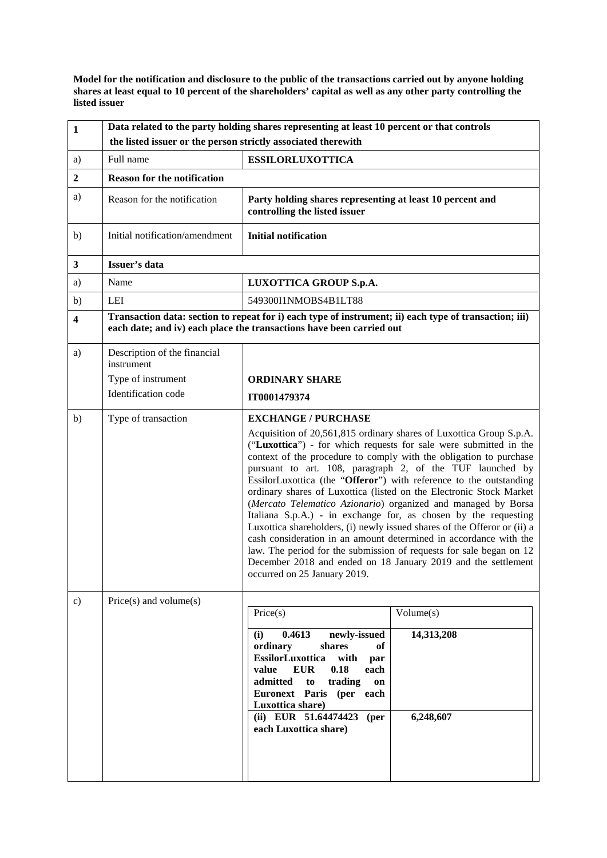**Model for the notification and disclosure to the public of the transactions carried out by anyone holding shares at least equal to 10 percent of the shareholders' capital as well as any other party controlling the listed issuer**

| $\mathbf{1}$            | Data related to the party holding shares representing at least 10 percent or that controls                                                                                     |                                                                                                                                                                                                                                                                                                                                                                                                                                                                                                                                                                                                                                                                                                                                                                                                                |                                      |
|-------------------------|--------------------------------------------------------------------------------------------------------------------------------------------------------------------------------|----------------------------------------------------------------------------------------------------------------------------------------------------------------------------------------------------------------------------------------------------------------------------------------------------------------------------------------------------------------------------------------------------------------------------------------------------------------------------------------------------------------------------------------------------------------------------------------------------------------------------------------------------------------------------------------------------------------------------------------------------------------------------------------------------------------|--------------------------------------|
|                         | the listed issuer or the person strictly associated therewith                                                                                                                  |                                                                                                                                                                                                                                                                                                                                                                                                                                                                                                                                                                                                                                                                                                                                                                                                                |                                      |
| a)                      | Full name                                                                                                                                                                      | <b>ESSILORLUXOTTICA</b>                                                                                                                                                                                                                                                                                                                                                                                                                                                                                                                                                                                                                                                                                                                                                                                        |                                      |
| $\mathbf{2}$            | <b>Reason for the notification</b>                                                                                                                                             |                                                                                                                                                                                                                                                                                                                                                                                                                                                                                                                                                                                                                                                                                                                                                                                                                |                                      |
| a)                      | Reason for the notification                                                                                                                                                    | Party holding shares representing at least 10 percent and<br>controlling the listed issuer                                                                                                                                                                                                                                                                                                                                                                                                                                                                                                                                                                                                                                                                                                                     |                                      |
| b)                      | Initial notification/amendment                                                                                                                                                 | <b>Initial notification</b>                                                                                                                                                                                                                                                                                                                                                                                                                                                                                                                                                                                                                                                                                                                                                                                    |                                      |
| $\mathbf{3}$            | Issuer's data                                                                                                                                                                  |                                                                                                                                                                                                                                                                                                                                                                                                                                                                                                                                                                                                                                                                                                                                                                                                                |                                      |
| a)                      | Name                                                                                                                                                                           | LUXOTTICA GROUP S.p.A.                                                                                                                                                                                                                                                                                                                                                                                                                                                                                                                                                                                                                                                                                                                                                                                         |                                      |
| b)                      | LEI                                                                                                                                                                            | 549300I1NMOBS4B1LT88                                                                                                                                                                                                                                                                                                                                                                                                                                                                                                                                                                                                                                                                                                                                                                                           |                                      |
| $\overline{\mathbf{4}}$ | Transaction data: section to repeat for i) each type of instrument; ii) each type of transaction; iii)<br>each date; and iv) each place the transactions have been carried out |                                                                                                                                                                                                                                                                                                                                                                                                                                                                                                                                                                                                                                                                                                                                                                                                                |                                      |
| a)                      | Description of the financial<br>instrument                                                                                                                                     |                                                                                                                                                                                                                                                                                                                                                                                                                                                                                                                                                                                                                                                                                                                                                                                                                |                                      |
|                         | Type of instrument                                                                                                                                                             | <b>ORDINARY SHARE</b>                                                                                                                                                                                                                                                                                                                                                                                                                                                                                                                                                                                                                                                                                                                                                                                          |                                      |
|                         | Identification code                                                                                                                                                            | IT0001479374                                                                                                                                                                                                                                                                                                                                                                                                                                                                                                                                                                                                                                                                                                                                                                                                   |                                      |
| b)                      | Type of transaction                                                                                                                                                            | <b>EXCHANGE / PURCHASE</b><br>Acquisition of 20,561,815 ordinary shares of Luxottica Group S.p.A.                                                                                                                                                                                                                                                                                                                                                                                                                                                                                                                                                                                                                                                                                                              |                                      |
|                         |                                                                                                                                                                                | ("Luxottica") - for which requests for sale were submitted in the<br>context of the procedure to comply with the obligation to purchase<br>pursuant to art. 108, paragraph 2, of the TUF launched by<br>EssilorLuxottica (the "Offeror") with reference to the outstanding<br>ordinary shares of Luxottica (listed on the Electronic Stock Market<br>(Mercato Telematico Azionario) organized and managed by Borsa<br>Italiana S.p.A.) - in exchange for, as chosen by the requesting<br>Luxottica shareholders, (i) newly issued shares of the Offeror or (ii) a<br>cash consideration in an amount determined in accordance with the<br>law. The period for the submission of requests for sale began on 12<br>December 2018 and ended on 18 January 2019 and the settlement<br>occurred on 25 January 2019. |                                      |
| $\mathbf{c})$           | $Price(s)$ and volume $(s)$                                                                                                                                                    | Price(s)<br>0.4613<br>newly-issued<br>(i)<br>ordinary<br>shares<br>of<br>EssilorLuxottica<br>with<br>par<br>value<br><b>EUR</b><br>0.18<br>each<br>admitted<br>trading<br>to<br>on<br>Euronext Paris (per each<br>Luxottica share)<br>(ii) EUR 51.64474423<br>( <b>per</b> )<br>each Luxottica share)                                                                                                                                                                                                                                                                                                                                                                                                                                                                                                          | Volume(s)<br>14,313,208<br>6,248,607 |